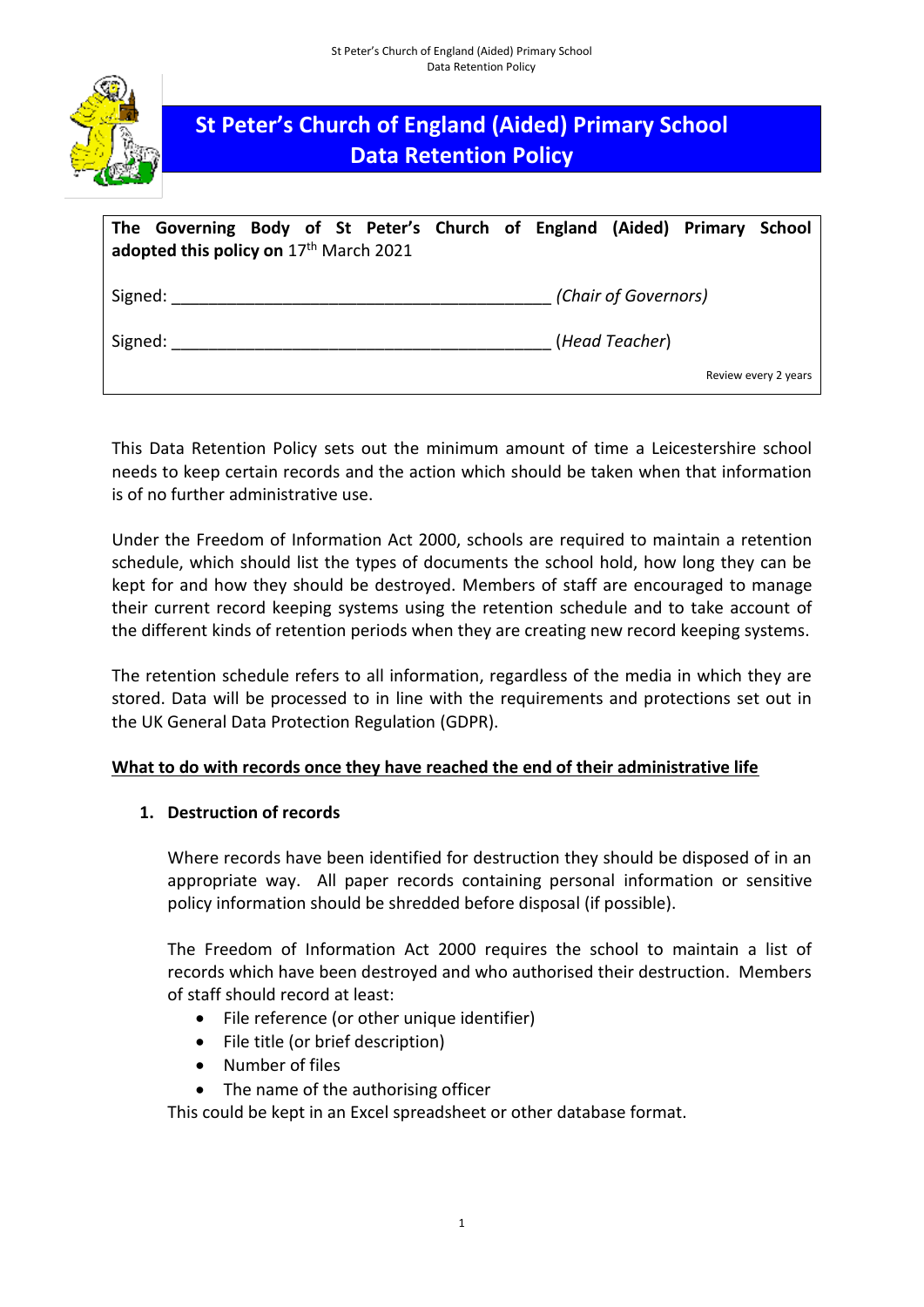

# **St Peter's Church of England (Aided) Primary School Data Retention Policy**

| The Governing Body of St Peter's Church of England (Aided) Primary School<br>adopted this policy on $17th$ March 2021 |  |                      |                      |
|-----------------------------------------------------------------------------------------------------------------------|--|----------------------|----------------------|
| Signed:                                                                                                               |  | (Chair of Governors) |                      |
| Signed:                                                                                                               |  | (Head Teacher)       |                      |
|                                                                                                                       |  |                      | Review every 2 years |

This Data Retention Policy sets out the minimum amount of time a Leicestershire school needs to keep certain records and the action which should be taken when that information is of no further administrative use.

Under the Freedom of Information Act 2000, schools are required to maintain a retention schedule, which should list the types of documents the school hold, how long they can be kept for and how they should be destroyed. Members of staff are encouraged to manage their current record keeping systems using the retention schedule and to take account of the different kinds of retention periods when they are creating new record keeping systems.

The retention schedule refers to all information, regardless of the media in which they are stored. Data will be processed to in line with the requirements and protections set out in the UK General Data Protection Regulation (GDPR).

## **What to do with records once they have reached the end of their administrative life**

## **1. Destruction of records**

Where records have been identified for destruction they should be disposed of in an appropriate way. All paper records containing personal information or sensitive policy information should be shredded before disposal (if possible).

The Freedom of Information Act 2000 requires the school to maintain a list of records which have been destroyed and who authorised their destruction. Members of staff should record at least:

- File reference (or other unique identifier)
- File title (or brief description)
- Number of files
- The name of the authorising officer

This could be kept in an Excel spreadsheet or other database format.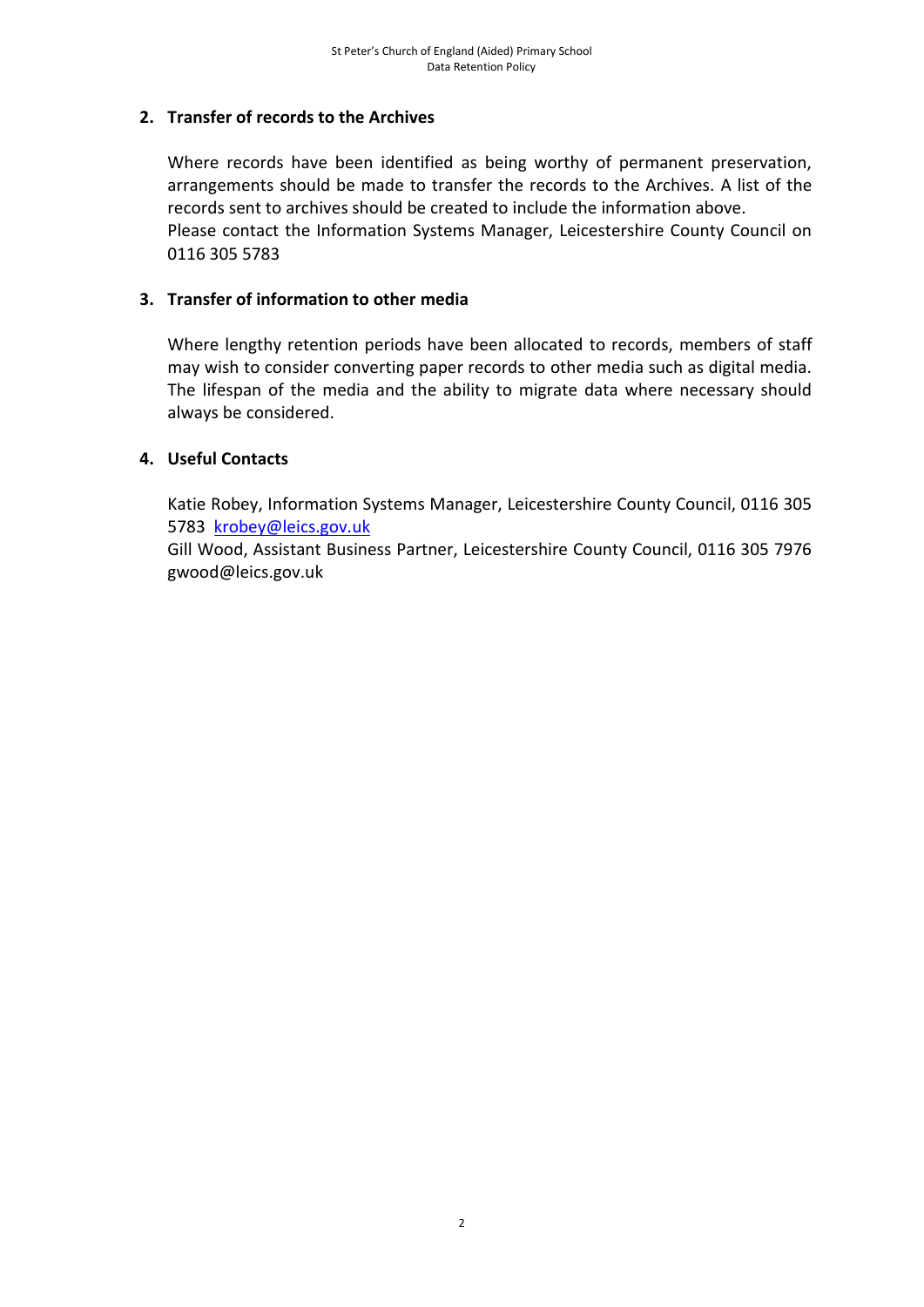## **2. Transfer of records to the Archives**

Where records have been identified as being worthy of permanent preservation, arrangements should be made to transfer the records to the Archives. A list of the records sent to archives should be created to include the information above. Please contact the Information Systems Manager, Leicestershire County Council on 0116 305 5783

## **3. Transfer of information to other media**

Where lengthy retention periods have been allocated to records, members of staff may wish to consider converting paper records to other media such as digital media. The lifespan of the media and the ability to migrate data where necessary should always be considered.

## **4. Useful Contacts**

Katie Robey, Information Systems Manager, Leicestershire County Council, 0116 305 5783 [krobey@leics.gov.uk](mailto:krobey@leics.gov.uk)

Gill Wood, Assistant Business Partner, Leicestershire County Council, 0116 305 7976 gwood@leics.gov.uk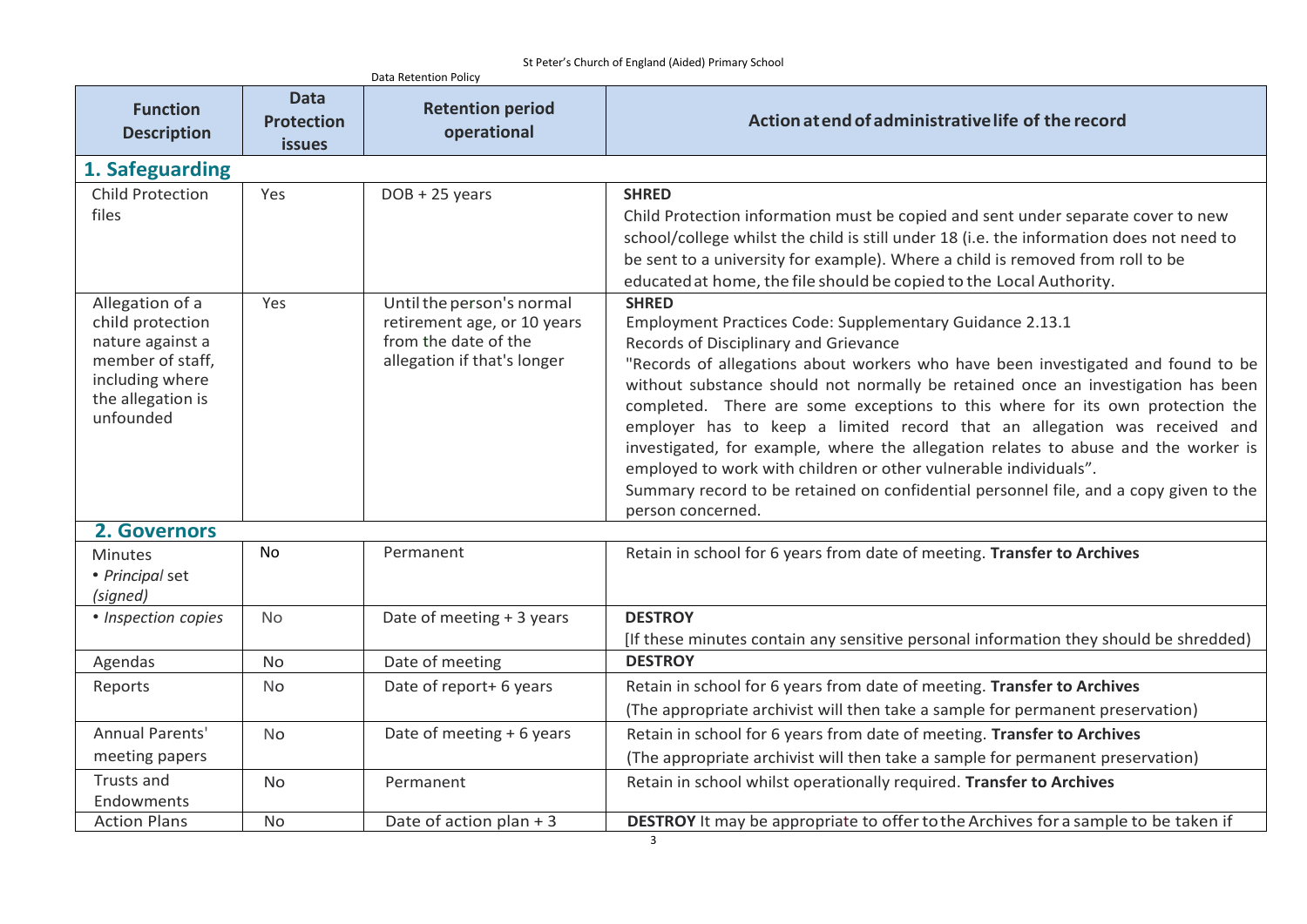|                                                                                                                                  |                                                   | Data Retention Policy                                                                                           |                                                                                                                                                                                                                                                                                                                                                                                                                                                                                                                                                                                                                                                                                                                                 |
|----------------------------------------------------------------------------------------------------------------------------------|---------------------------------------------------|-----------------------------------------------------------------------------------------------------------------|---------------------------------------------------------------------------------------------------------------------------------------------------------------------------------------------------------------------------------------------------------------------------------------------------------------------------------------------------------------------------------------------------------------------------------------------------------------------------------------------------------------------------------------------------------------------------------------------------------------------------------------------------------------------------------------------------------------------------------|
| <b>Function</b><br><b>Description</b>                                                                                            | <b>Data</b><br><b>Protection</b><br><b>issues</b> | <b>Retention period</b><br>operational                                                                          | Action at end of administrative life of the record                                                                                                                                                                                                                                                                                                                                                                                                                                                                                                                                                                                                                                                                              |
| 1. Safeguarding                                                                                                                  |                                                   |                                                                                                                 |                                                                                                                                                                                                                                                                                                                                                                                                                                                                                                                                                                                                                                                                                                                                 |
| <b>Child Protection</b><br>files                                                                                                 | Yes                                               | $DOB + 25$ years                                                                                                | <b>SHRED</b><br>Child Protection information must be copied and sent under separate cover to new<br>school/college whilst the child is still under 18 (i.e. the information does not need to<br>be sent to a university for example). Where a child is removed from roll to be<br>educated at home, the file should be copied to the Local Authority.                                                                                                                                                                                                                                                                                                                                                                           |
| Allegation of a<br>child protection<br>nature against a<br>member of staff,<br>including where<br>the allegation is<br>unfounded | Yes                                               | Until the person's normal<br>retirement age, or 10 years<br>from the date of the<br>allegation if that's longer | <b>SHRED</b><br>Employment Practices Code: Supplementary Guidance 2.13.1<br>Records of Disciplinary and Grievance<br>"Records of allegations about workers who have been investigated and found to be<br>without substance should not normally be retained once an investigation has been<br>completed. There are some exceptions to this where for its own protection the<br>employer has to keep a limited record that an allegation was received and<br>investigated, for example, where the allegation relates to abuse and the worker is<br>employed to work with children or other vulnerable individuals".<br>Summary record to be retained on confidential personnel file, and a copy given to the<br>person concerned. |
| 2. Governors                                                                                                                     |                                                   |                                                                                                                 |                                                                                                                                                                                                                                                                                                                                                                                                                                                                                                                                                                                                                                                                                                                                 |
| <b>Minutes</b><br>· Principal set<br>(signed)                                                                                    | No                                                | Permanent                                                                                                       | Retain in school for 6 years from date of meeting. Transfer to Archives                                                                                                                                                                                                                                                                                                                                                                                                                                                                                                                                                                                                                                                         |
| • Inspection copies                                                                                                              | <b>No</b>                                         | Date of meeting + 3 years                                                                                       | <b>DESTROY</b><br>[If these minutes contain any sensitive personal information they should be shredded)                                                                                                                                                                                                                                                                                                                                                                                                                                                                                                                                                                                                                         |
| Agendas                                                                                                                          | <b>No</b>                                         | Date of meeting                                                                                                 | <b>DESTROY</b>                                                                                                                                                                                                                                                                                                                                                                                                                                                                                                                                                                                                                                                                                                                  |
| Reports                                                                                                                          | <b>No</b>                                         | Date of report+ 6 years                                                                                         | Retain in school for 6 years from date of meeting. Transfer to Archives<br>(The appropriate archivist will then take a sample for permanent preservation)                                                                                                                                                                                                                                                                                                                                                                                                                                                                                                                                                                       |
| Annual Parents'<br>meeting papers                                                                                                | <b>No</b>                                         | Date of meeting + 6 years                                                                                       | Retain in school for 6 years from date of meeting. Transfer to Archives<br>(The appropriate archivist will then take a sample for permanent preservation)                                                                                                                                                                                                                                                                                                                                                                                                                                                                                                                                                                       |
| Trusts and<br>Endowments                                                                                                         | No                                                | Permanent                                                                                                       | Retain in school whilst operationally required. Transfer to Archives                                                                                                                                                                                                                                                                                                                                                                                                                                                                                                                                                                                                                                                            |
| <b>Action Plans</b>                                                                                                              | No                                                | Date of action plan + 3                                                                                         | DESTROY It may be appropriate to offer to the Archives for a sample to be taken if                                                                                                                                                                                                                                                                                                                                                                                                                                                                                                                                                                                                                                              |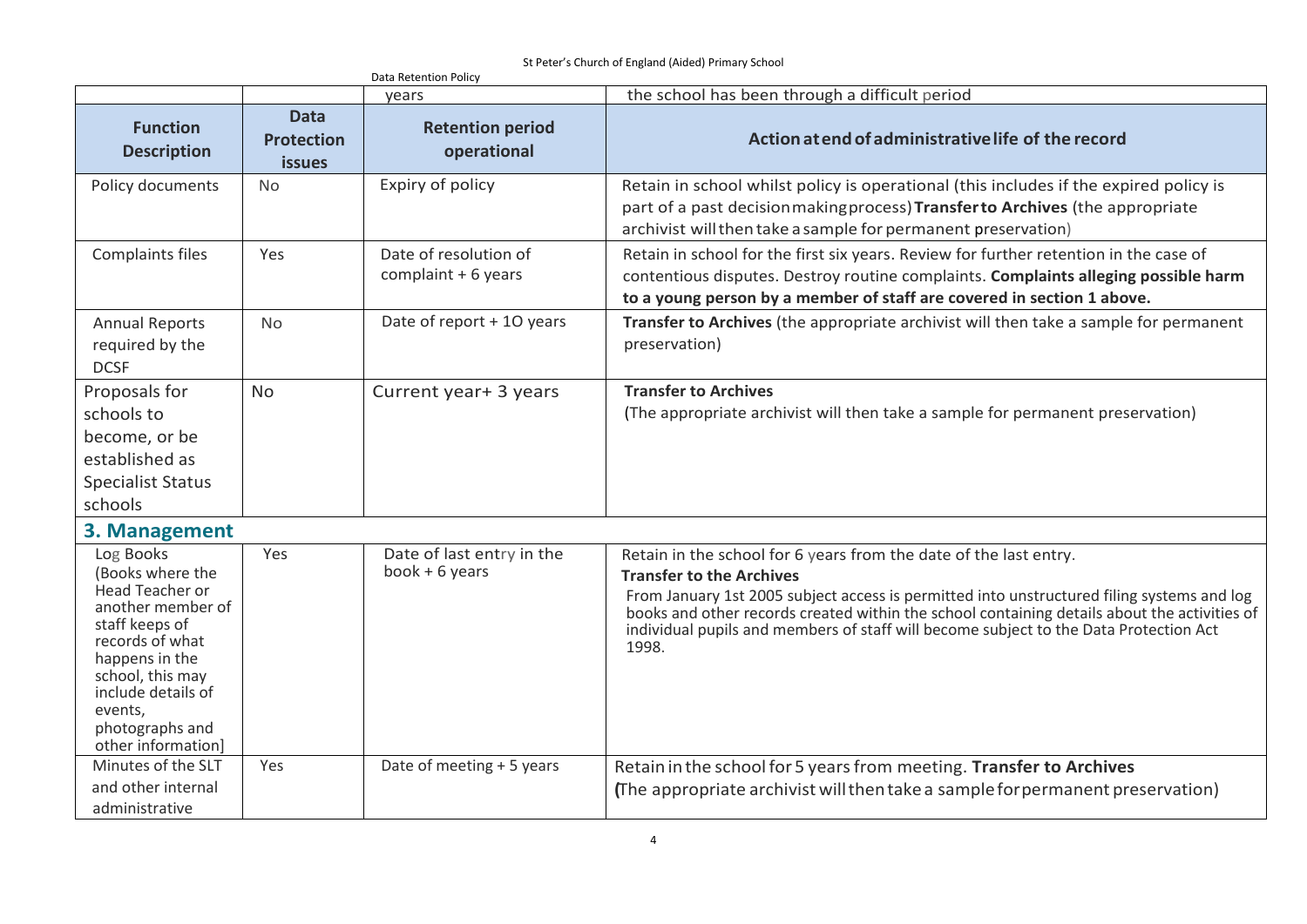St Peter's Church of England (Aided) Primary School

|                                                                                                                                                                                                                                   |                                                   | Data Retention Policy                        |                                                                                                                                                                                                                                                                                                                                                                                                      |
|-----------------------------------------------------------------------------------------------------------------------------------------------------------------------------------------------------------------------------------|---------------------------------------------------|----------------------------------------------|------------------------------------------------------------------------------------------------------------------------------------------------------------------------------------------------------------------------------------------------------------------------------------------------------------------------------------------------------------------------------------------------------|
|                                                                                                                                                                                                                                   |                                                   | vears                                        | the school has been through a difficult period                                                                                                                                                                                                                                                                                                                                                       |
| <b>Function</b><br><b>Description</b>                                                                                                                                                                                             | <b>Data</b><br><b>Protection</b><br><b>issues</b> | <b>Retention period</b><br>operational       | Action at end of administrative life of the record                                                                                                                                                                                                                                                                                                                                                   |
| Policy documents                                                                                                                                                                                                                  | <b>No</b>                                         | Expiry of policy                             | Retain in school whilst policy is operational (this includes if the expired policy is<br>part of a past decision making process) Transfer to Archives (the appropriate<br>archivist will then take a sample for permanent preservation)                                                                                                                                                              |
| Complaints files                                                                                                                                                                                                                  | Yes                                               | Date of resolution of<br>complaint + 6 years | Retain in school for the first six years. Review for further retention in the case of<br>contentious disputes. Destroy routine complaints. Complaints alleging possible harm<br>to a young person by a member of staff are covered in section 1 above.                                                                                                                                               |
| <b>Annual Reports</b><br>required by the<br><b>DCSF</b>                                                                                                                                                                           | <b>No</b>                                         | Date of report + 10 years                    | Transfer to Archives (the appropriate archivist will then take a sample for permanent<br>preservation)                                                                                                                                                                                                                                                                                               |
| Proposals for<br>schools to<br>become, or be<br>established as<br><b>Specialist Status</b><br>schools                                                                                                                             | <b>No</b>                                         | Current year+ 3 years                        | <b>Transfer to Archives</b><br>(The appropriate archivist will then take a sample for permanent preservation)                                                                                                                                                                                                                                                                                        |
| 3. Management                                                                                                                                                                                                                     |                                                   |                                              |                                                                                                                                                                                                                                                                                                                                                                                                      |
| Log Books<br>(Books where the<br><b>Head Teacher or</b><br>another member of<br>staff keeps of<br>records of what<br>happens in the<br>school, this may<br>include details of<br>events,<br>photographs and<br>other information] | Yes                                               | Date of last entry in the<br>book $+6$ years | Retain in the school for 6 years from the date of the last entry.<br><b>Transfer to the Archives</b><br>From January 1st 2005 subject access is permitted into unstructured filing systems and log<br>books and other records created within the school containing details about the activities of<br>individual pupils and members of staff will become subject to the Data Protection Act<br>1998. |
| Minutes of the SLT<br>and other internal<br>administrative                                                                                                                                                                        | Yes                                               | Date of meeting + 5 years                    | Retain in the school for 5 years from meeting. Transfer to Archives<br>(The appropriate archivist will then take a sample for permanent preservation)                                                                                                                                                                                                                                                |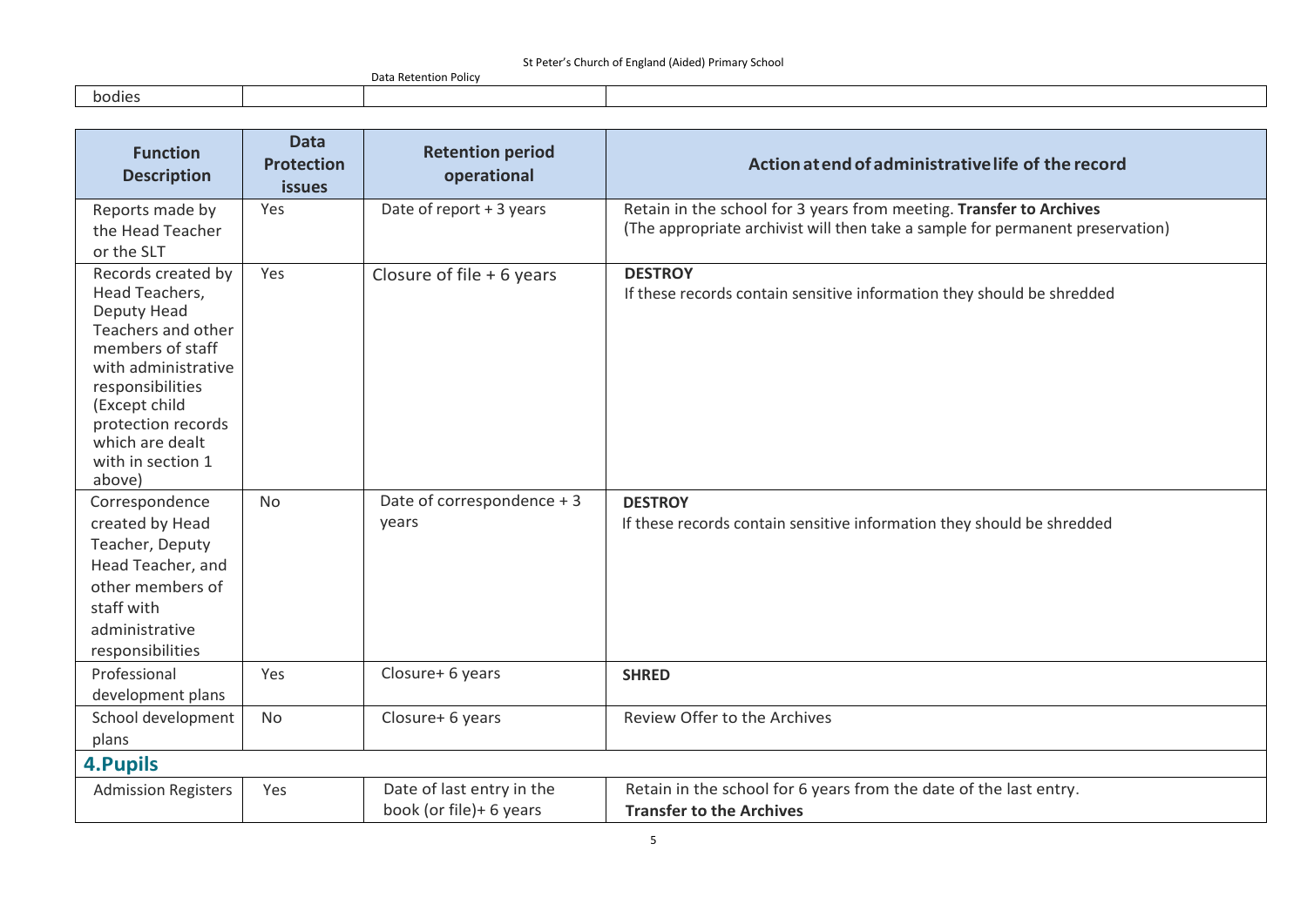|        | n^+-<br>้า Retention Polic<br>Dald |  |
|--------|------------------------------------|--|
| bodies |                                    |  |

| <b>Function</b><br><b>Description</b>                                                                                                                                                                                             | <b>Data</b><br><b>Protection</b><br><b>issues</b> | <b>Retention period</b><br>operational               | Action at end of administrative life of the record                                                                                                    |
|-----------------------------------------------------------------------------------------------------------------------------------------------------------------------------------------------------------------------------------|---------------------------------------------------|------------------------------------------------------|-------------------------------------------------------------------------------------------------------------------------------------------------------|
| Reports made by<br>the Head Teacher<br>or the SLT                                                                                                                                                                                 | Yes                                               | Date of report + 3 years                             | Retain in the school for 3 years from meeting. Transfer to Archives<br>(The appropriate archivist will then take a sample for permanent preservation) |
| Records created by<br>Head Teachers,<br>Deputy Head<br>Teachers and other<br>members of staff<br>with administrative<br>responsibilities<br>(Except child<br>protection records<br>which are dealt<br>with in section 1<br>above) | Yes                                               | Closure of file $+6$ years                           | <b>DESTROY</b><br>If these records contain sensitive information they should be shredded                                                              |
| Correspondence<br>created by Head<br>Teacher, Deputy<br>Head Teacher, and<br>other members of<br>staff with<br>administrative<br>responsibilities                                                                                 | <b>No</b>                                         | Date of correspondence + 3<br>years                  | <b>DESTROY</b><br>If these records contain sensitive information they should be shredded                                                              |
| Professional<br>development plans                                                                                                                                                                                                 | Yes                                               | Closure+ 6 years                                     | <b>SHRED</b>                                                                                                                                          |
| School development<br>plans                                                                                                                                                                                                       | <b>No</b>                                         | Closure+ 6 years                                     | Review Offer to the Archives                                                                                                                          |
| <b>4. Pupils</b>                                                                                                                                                                                                                  |                                                   |                                                      |                                                                                                                                                       |
| <b>Admission Registers</b>                                                                                                                                                                                                        | Yes                                               | Date of last entry in the<br>book (or file)+ 6 years | Retain in the school for 6 years from the date of the last entry.<br><b>Transfer to the Archives</b>                                                  |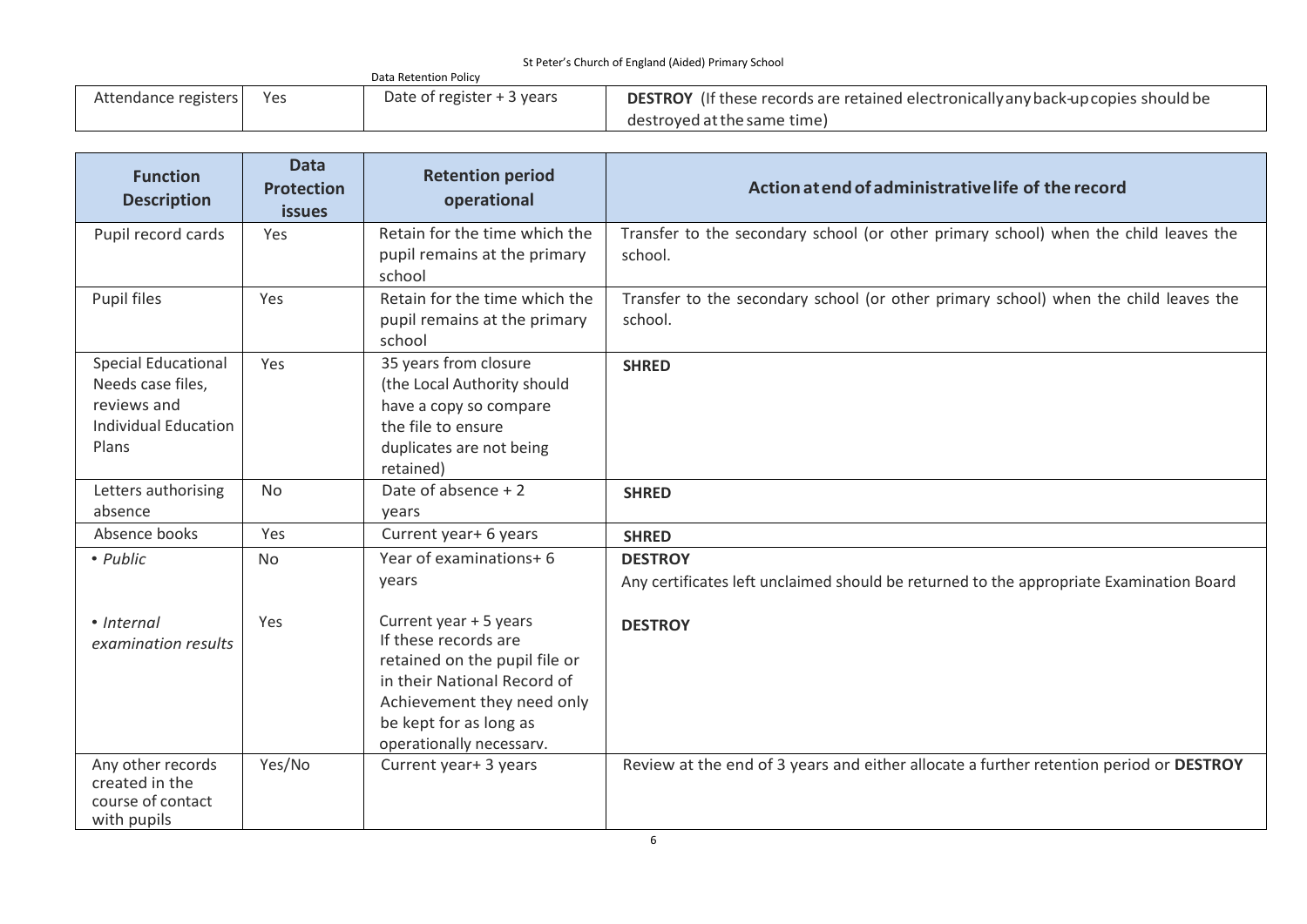| $\frac{1}{2}$ . The contract of England (maca) in the sensor |     |                             |                                                                                           |  |
|--------------------------------------------------------------|-----|-----------------------------|-------------------------------------------------------------------------------------------|--|
|                                                              |     | Data Retention Policy       |                                                                                           |  |
| Attendance registers                                         | Yes | Date of register $+3$ years | <b>DESTROY</b> (If these records are retained electronically any back-up copies should be |  |
|                                                              |     |                             | destroved at the same time)                                                               |  |

| <b>Function</b><br><b>Description</b>                                                                  | <b>Data</b><br><b>Protection</b><br><b>issues</b> | <b>Retention period</b><br>operational                                                                                                                                                             | Action at end of administrative life of the record                                                        |
|--------------------------------------------------------------------------------------------------------|---------------------------------------------------|----------------------------------------------------------------------------------------------------------------------------------------------------------------------------------------------------|-----------------------------------------------------------------------------------------------------------|
| Pupil record cards                                                                                     | Yes                                               | Retain for the time which the<br>pupil remains at the primary<br>school                                                                                                                            | Transfer to the secondary school (or other primary school) when the child leaves the<br>school.           |
| Pupil files                                                                                            | Yes                                               | Retain for the time which the<br>pupil remains at the primary<br>school                                                                                                                            | Transfer to the secondary school (or other primary school) when the child leaves the<br>school.           |
| <b>Special Educational</b><br>Needs case files,<br>reviews and<br><b>Individual Education</b><br>Plans | Yes                                               | 35 years from closure<br>(the Local Authority should<br>have a copy so compare<br>the file to ensure<br>duplicates are not being<br>retained)                                                      | <b>SHRED</b>                                                                                              |
| Letters authorising<br>absence                                                                         | <b>No</b>                                         | Date of absence + 2<br>years                                                                                                                                                                       | <b>SHRED</b>                                                                                              |
| Absence books                                                                                          | Yes                                               | Current year+ 6 years                                                                                                                                                                              | <b>SHRED</b>                                                                                              |
| • Public                                                                                               | <b>No</b>                                         | Year of examinations+ 6<br>years                                                                                                                                                                   | <b>DESTROY</b><br>Any certificates left unclaimed should be returned to the appropriate Examination Board |
| • Internal<br>examination results                                                                      | Yes                                               | Current year + 5 years<br>If these records are<br>retained on the pupil file or<br>in their National Record of<br>Achievement they need only<br>be kept for as long as<br>operationally necessarv. | <b>DESTROY</b>                                                                                            |
| Any other records<br>created in the<br>course of contact<br>with pupils                                | Yes/No                                            | Current year+ 3 years                                                                                                                                                                              | Review at the end of 3 years and either allocate a further retention period or DESTROY                    |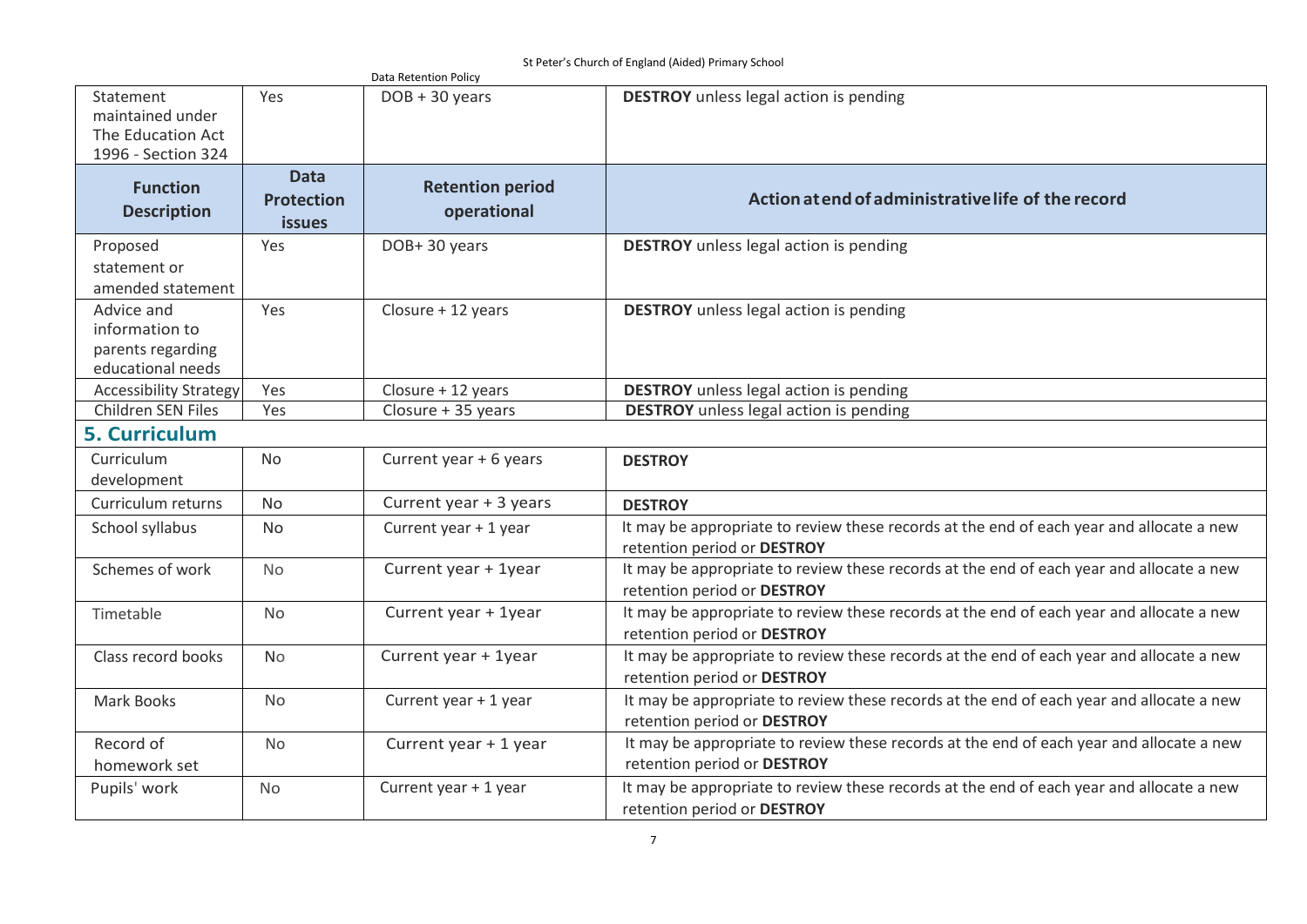St Peter's Church of England (Aided) Primary School

| Statement                             |                   | Data Retention Policy   |                                                                                          |
|---------------------------------------|-------------------|-------------------------|------------------------------------------------------------------------------------------|
|                                       | Yes               | $DOB + 30 years$        | <b>DESTROY</b> unless legal action is pending                                            |
| maintained under<br>The Education Act |                   |                         |                                                                                          |
| 1996 - Section 324                    |                   |                         |                                                                                          |
|                                       | <b>Data</b>       |                         |                                                                                          |
| <b>Function</b>                       |                   | <b>Retention period</b> |                                                                                          |
| <b>Description</b>                    | <b>Protection</b> | operational             | Action at end of administrative life of the record                                       |
|                                       | <b>issues</b>     |                         |                                                                                          |
| Proposed                              | Yes               | DOB+30 years            | <b>DESTROY</b> unless legal action is pending                                            |
| statement or                          |                   |                         |                                                                                          |
| amended statement                     |                   |                         |                                                                                          |
| Advice and                            | Yes               | Closure + 12 years      | <b>DESTROY</b> unless legal action is pending                                            |
| information to                        |                   |                         |                                                                                          |
| parents regarding                     |                   |                         |                                                                                          |
| educational needs                     |                   |                         |                                                                                          |
| <b>Accessibility Strategy</b>         | Yes               | Closure + 12 years      | <b>DESTROY</b> unless legal action is pending                                            |
| <b>Children SEN Files</b>             | Yes               | Closure + 35 years      | <b>DESTROY</b> unless legal action is pending                                            |
| <b>5. Curriculum</b>                  |                   |                         |                                                                                          |
| Curriculum                            | <b>No</b>         | Current year + 6 years  | <b>DESTROY</b>                                                                           |
| development                           |                   |                         |                                                                                          |
| Curriculum returns                    | <b>No</b>         | Current year + 3 years  | <b>DESTROY</b>                                                                           |
| School syllabus                       | <b>No</b>         | Current year + 1 year   | It may be appropriate to review these records at the end of each year and allocate a new |
|                                       |                   |                         | retention period or DESTROY                                                              |
| Schemes of work                       | <b>No</b>         | Current year + 1year    | It may be appropriate to review these records at the end of each year and allocate a new |
|                                       |                   |                         | retention period or DESTROY                                                              |
| Timetable                             | No                | Current year + 1year    | It may be appropriate to review these records at the end of each year and allocate a new |
|                                       |                   |                         | retention period or DESTROY                                                              |
| Class record books                    | No                | Current year + 1year    | It may be appropriate to review these records at the end of each year and allocate a new |
|                                       |                   |                         | retention period or DESTROY                                                              |
| Mark Books                            | <b>No</b>         | Current year + 1 year   | It may be appropriate to review these records at the end of each year and allocate a new |
|                                       |                   |                         | retention period or DESTROY                                                              |
| Record of                             | <b>No</b>         | Current year + 1 year   | It may be appropriate to review these records at the end of each year and allocate a new |
| homework set                          |                   |                         | retention period or DESTROY                                                              |
| Pupils' work                          | <b>No</b>         | Current year + 1 year   | It may be appropriate to review these records at the end of each year and allocate a new |
|                                       |                   |                         | retention period or DESTROY                                                              |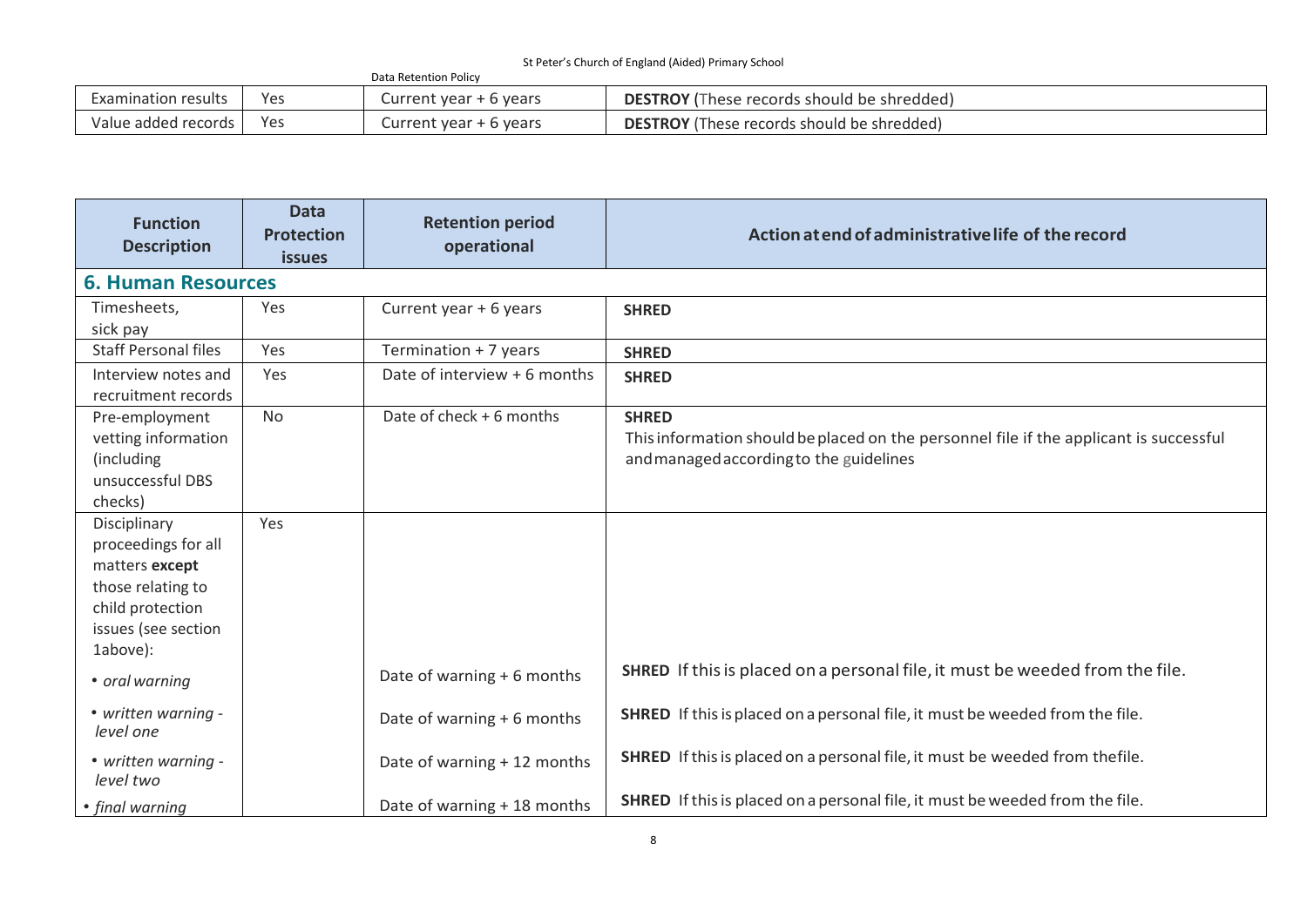| Data Retention Policy |     |                        |                                                   |  |
|-----------------------|-----|------------------------|---------------------------------------------------|--|
| Examination results   | Yes | Current year + 6 years | <b>DESTROY</b> (These records should be shredded) |  |
| Value added records   | Yes | Current year + 6 years | <b>DESTROY</b> (These records should be shredded) |  |

| <b>Function</b><br><b>Description</b>                                                                                             | <b>Data</b><br><b>Protection</b><br><b>issues</b> | <b>Retention period</b><br>operational | Action at end of administrative life of the record                                                                                                |
|-----------------------------------------------------------------------------------------------------------------------------------|---------------------------------------------------|----------------------------------------|---------------------------------------------------------------------------------------------------------------------------------------------------|
| <b>6. Human Resources</b>                                                                                                         |                                                   |                                        |                                                                                                                                                   |
| Timesheets,<br>sick pay                                                                                                           | Yes                                               | Current year + 6 years                 | <b>SHRED</b>                                                                                                                                      |
| <b>Staff Personal files</b>                                                                                                       | Yes                                               | Termination + 7 years                  | <b>SHRED</b>                                                                                                                                      |
| Interview notes and<br>recruitment records                                                                                        | Yes                                               | Date of interview + 6 months           | <b>SHRED</b>                                                                                                                                      |
| Pre-employment<br>vetting information<br>(including<br>unsuccessful DBS<br>checks)                                                | <b>No</b>                                         | Date of check + 6 months               | <b>SHRED</b><br>This information should be placed on the personnel file if the applicant is successful<br>and managed according to the guidelines |
| Disciplinary<br>proceedings for all<br>matters except<br>those relating to<br>child protection<br>issues (see section<br>1above): | Yes                                               |                                        |                                                                                                                                                   |
| • oral warning                                                                                                                    |                                                   | Date of warning + 6 months             | <b>SHRED</b> If this is placed on a personal file, it must be weeded from the file.                                                               |
| • written warning -<br>level one                                                                                                  |                                                   | Date of warning + 6 months             | <b>SHRED</b> If this is placed on a personal file, it must be weeded from the file.                                                               |
| • written warning -<br>level two                                                                                                  |                                                   | Date of warning + 12 months            | SHRED If this is placed on a personal file, it must be weeded from thefile.                                                                       |
| • final warning                                                                                                                   |                                                   | Date of warning + 18 months            | <b>SHRED</b> If this is placed on a personal file, it must be weeded from the file.                                                               |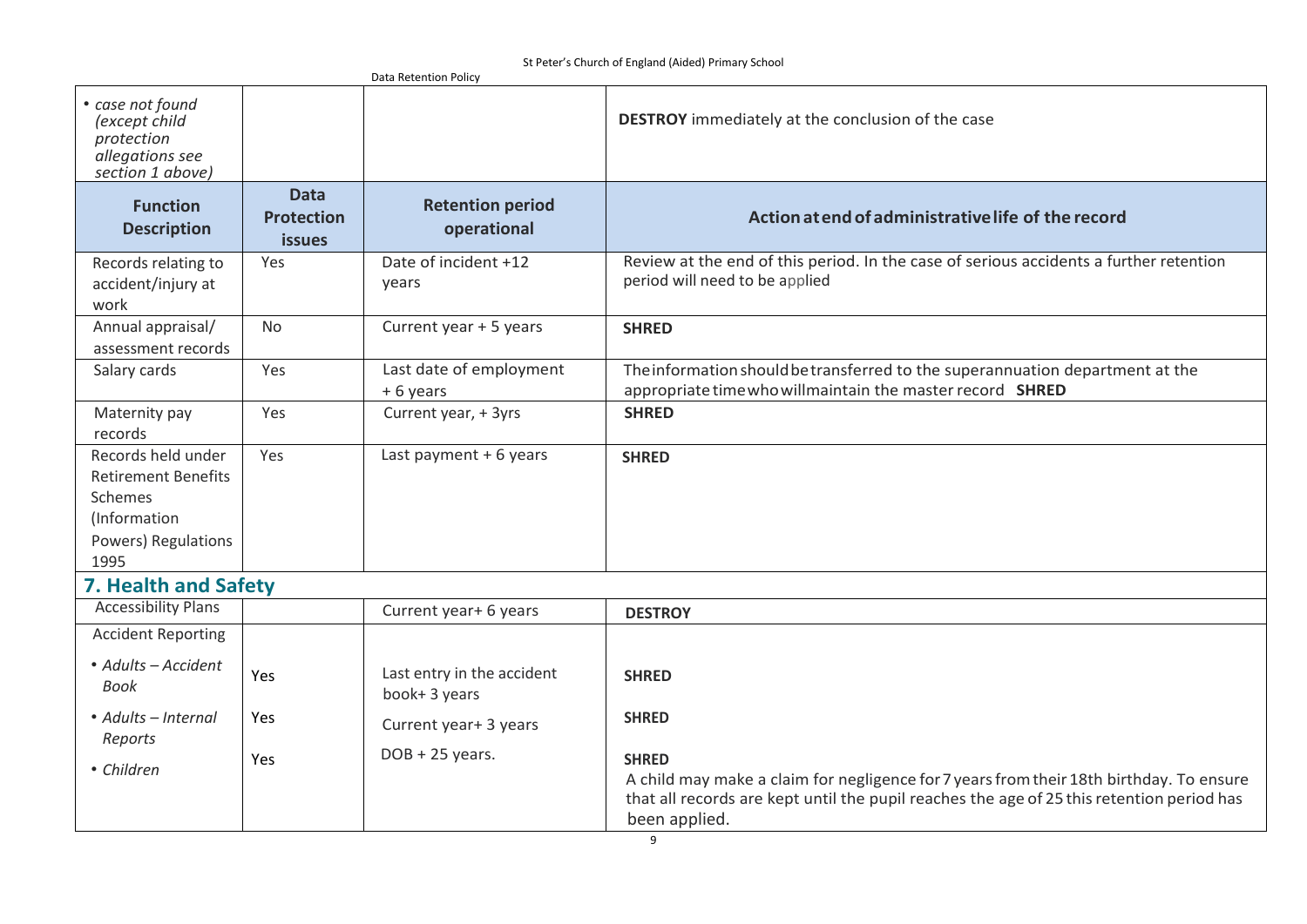St Peter's Church of England (Aided) Primary School

|                                                                                                                   |                                                   | Data Retention Policy                       |                                                                                                                                                                                                                       |
|-------------------------------------------------------------------------------------------------------------------|---------------------------------------------------|---------------------------------------------|-----------------------------------------------------------------------------------------------------------------------------------------------------------------------------------------------------------------------|
| • case not found<br>(except child<br>protection<br>allegations see<br>section 1 above)                            |                                                   |                                             | <b>DESTROY</b> immediately at the conclusion of the case                                                                                                                                                              |
| <b>Function</b><br><b>Description</b>                                                                             | <b>Data</b><br><b>Protection</b><br><i>issues</i> | <b>Retention period</b><br>operational      | Action at end of administrative life of the record                                                                                                                                                                    |
| Records relating to<br>accident/injury at<br>work                                                                 | Yes                                               | Date of incident +12<br>years               | Review at the end of this period. In the case of serious accidents a further retention<br>period will need to be applied                                                                                              |
| Annual appraisal/<br>assessment records                                                                           | <b>No</b>                                         | Current year + 5 years                      | <b>SHRED</b>                                                                                                                                                                                                          |
| Salary cards                                                                                                      | Yes                                               | Last date of employment<br>+6 years         | The information should be transferred to the superannuation department at the<br>appropriate time who willmaintain the master record SHRED                                                                            |
| Maternity pay<br>records                                                                                          | Yes                                               | Current year, + 3yrs                        | <b>SHRED</b>                                                                                                                                                                                                          |
| Records held under<br><b>Retirement Benefits</b><br><b>Schemes</b><br>(Information<br>Powers) Regulations<br>1995 | Yes                                               | Last payment + 6 years                      | <b>SHRED</b>                                                                                                                                                                                                          |
| 7. Health and Safety                                                                                              |                                                   |                                             |                                                                                                                                                                                                                       |
| <b>Accessibility Plans</b>                                                                                        |                                                   | Current year+ 6 years                       | <b>DESTROY</b>                                                                                                                                                                                                        |
| <b>Accident Reporting</b>                                                                                         |                                                   |                                             |                                                                                                                                                                                                                       |
| • Adults - Accident<br><b>Book</b>                                                                                | Yes                                               | Last entry in the accident<br>book+ 3 years | <b>SHRED</b>                                                                                                                                                                                                          |
| • Adults – Internal<br>Reports                                                                                    | Yes                                               | Current year+ 3 years                       | <b>SHRED</b>                                                                                                                                                                                                          |
| • Children                                                                                                        | Yes                                               | $DOB + 25$ years.                           | <b>SHRED</b><br>A child may make a claim for negligence for 7 years from their 18th birthday. To ensure<br>that all records are kept until the pupil reaches the age of 25 this retention period has<br>been applied. |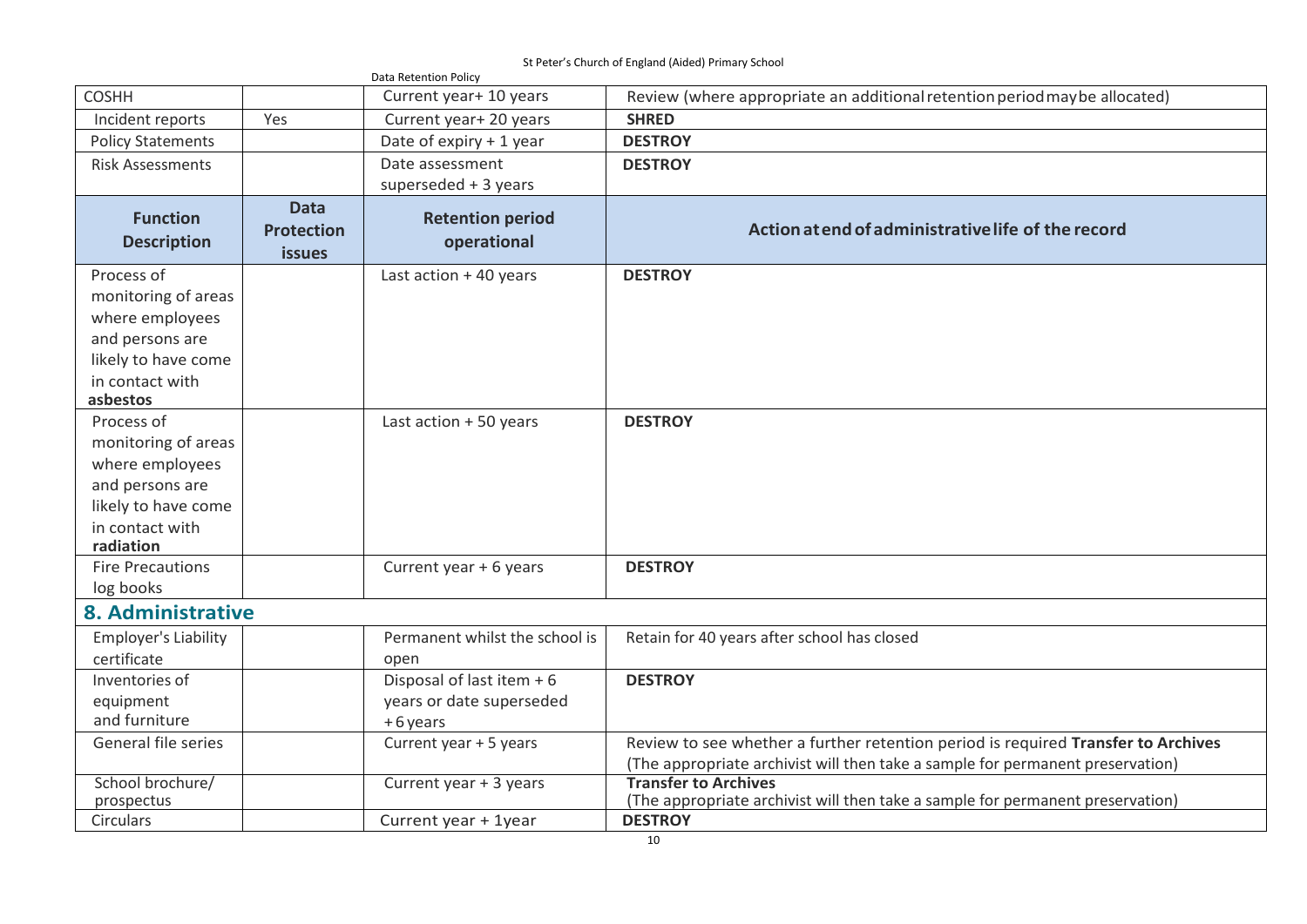St Peter's Church of England (Aided) Primary School

|                                                                                                                                |                                                   | Data Retention Policy                                               |                                                                                                                                                                     |
|--------------------------------------------------------------------------------------------------------------------------------|---------------------------------------------------|---------------------------------------------------------------------|---------------------------------------------------------------------------------------------------------------------------------------------------------------------|
| <b>COSHH</b>                                                                                                                   |                                                   | Current year+ 10 years                                              | Review (where appropriate an additional retention period may be allocated)                                                                                          |
| Incident reports                                                                                                               | Yes                                               | Current year+ 20 years                                              | <b>SHRED</b>                                                                                                                                                        |
| <b>Policy Statements</b>                                                                                                       |                                                   | Date of expiry + 1 year                                             | <b>DESTROY</b>                                                                                                                                                      |
| <b>Risk Assessments</b>                                                                                                        |                                                   | Date assessment<br>superseded $+3$ years                            | <b>DESTROY</b>                                                                                                                                                      |
| <b>Function</b><br><b>Description</b>                                                                                          | <b>Data</b><br><b>Protection</b><br><b>issues</b> | <b>Retention period</b><br>operational                              | Action at end of administrative life of the record                                                                                                                  |
| Process of<br>monitoring of areas<br>where employees<br>and persons are<br>likely to have come<br>in contact with<br>asbestos  |                                                   | Last action + 40 years                                              | <b>DESTROY</b>                                                                                                                                                      |
| Process of<br>monitoring of areas<br>where employees<br>and persons are<br>likely to have come<br>in contact with<br>radiation |                                                   | Last action + 50 years                                              | <b>DESTROY</b>                                                                                                                                                      |
| <b>Fire Precautions</b><br>log books                                                                                           |                                                   | Current year + 6 years                                              | <b>DESTROY</b>                                                                                                                                                      |
| 8. Administrative                                                                                                              |                                                   |                                                                     |                                                                                                                                                                     |
| <b>Employer's Liability</b><br>certificate                                                                                     |                                                   | Permanent whilst the school is<br>open                              | Retain for 40 years after school has closed                                                                                                                         |
| Inventories of<br>equipment<br>and furniture                                                                                   |                                                   | Disposal of last item + 6<br>years or date superseded<br>$+6$ years | <b>DESTROY</b>                                                                                                                                                      |
| General file series                                                                                                            |                                                   | Current year + 5 years                                              | Review to see whether a further retention period is required Transfer to Archives<br>(The appropriate archivist will then take a sample for permanent preservation) |
| School brochure/<br>prospectus                                                                                                 |                                                   | Current year + 3 years                                              | <b>Transfer to Archives</b><br>(The appropriate archivist will then take a sample for permanent preservation)                                                       |
| <b>Circulars</b>                                                                                                               |                                                   | Current year + 1year                                                | <b>DESTROY</b>                                                                                                                                                      |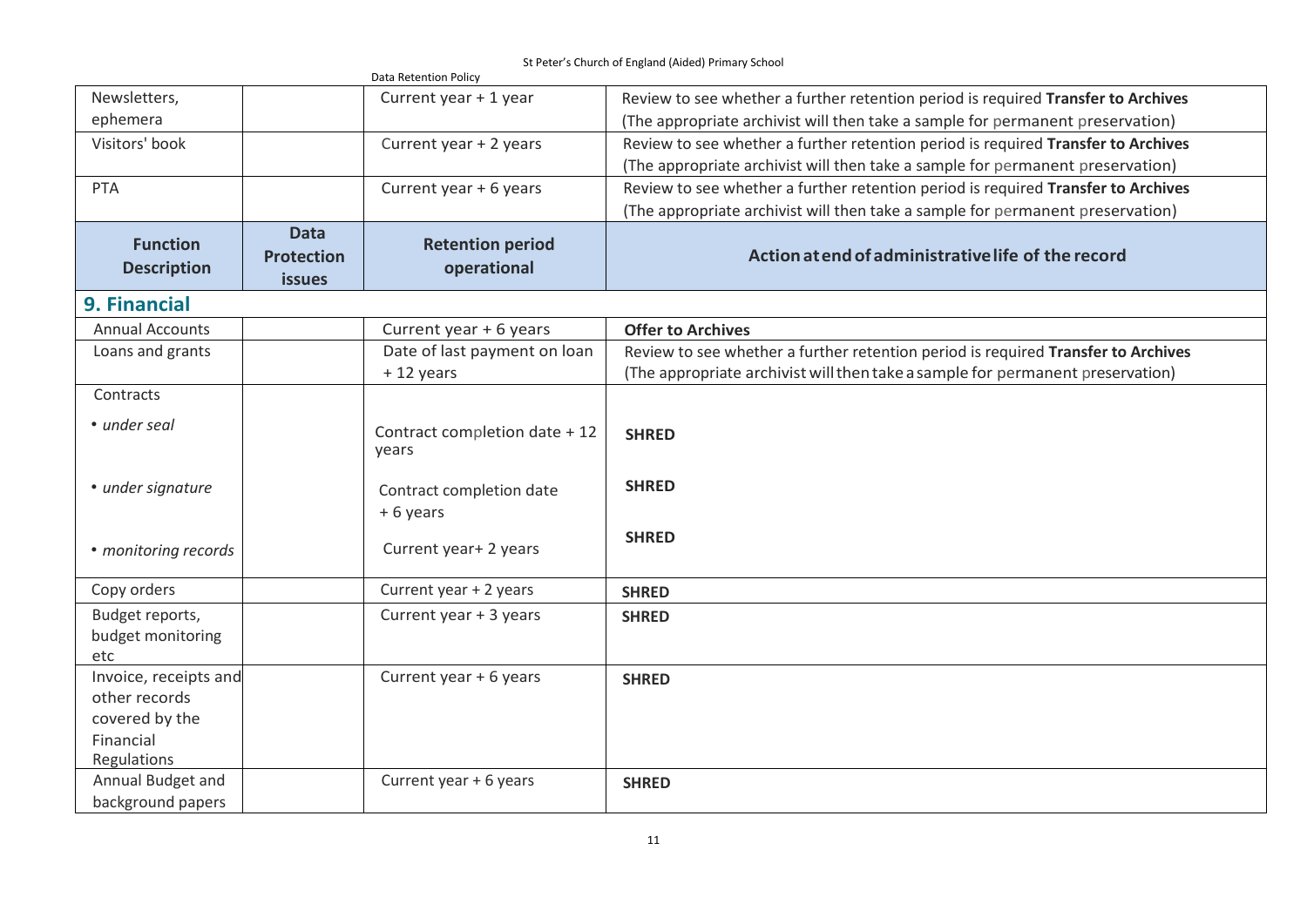|                                                                                      |                                                   | Data Retention Policy                  |                                                                                   |
|--------------------------------------------------------------------------------------|---------------------------------------------------|----------------------------------------|-----------------------------------------------------------------------------------|
| Newsletters,                                                                         |                                                   | Current year + 1 year                  | Review to see whether a further retention period is required Transfer to Archives |
| ephemera                                                                             |                                                   |                                        | (The appropriate archivist will then take a sample for permanent preservation)    |
| Visitors' book                                                                       |                                                   | Current year + 2 years                 | Review to see whether a further retention period is required Transfer to Archives |
|                                                                                      |                                                   |                                        | (The appropriate archivist will then take a sample for permanent preservation)    |
| <b>PTA</b>                                                                           |                                                   | Current year + 6 years                 | Review to see whether a further retention period is required Transfer to Archives |
|                                                                                      |                                                   |                                        | (The appropriate archivist will then take a sample for permanent preservation)    |
| <b>Function</b><br><b>Description</b>                                                | <b>Data</b><br><b>Protection</b><br><b>issues</b> | <b>Retention period</b><br>operational | Action at end of administrative life of the record                                |
| <b>9. Financial</b>                                                                  |                                                   |                                        |                                                                                   |
| <b>Annual Accounts</b>                                                               |                                                   | Current year + 6 years                 | <b>Offer to Archives</b>                                                          |
| Loans and grants                                                                     |                                                   | Date of last payment on loan           | Review to see whether a further retention period is required Transfer to Archives |
|                                                                                      |                                                   | $+12$ years                            | (The appropriate archivist will then take a sample for permanent preservation)    |
| Contracts                                                                            |                                                   |                                        |                                                                                   |
| • under seal                                                                         |                                                   | Contract completion date + 12<br>years | <b>SHRED</b>                                                                      |
| • under signature                                                                    |                                                   | Contract completion date<br>+6 years   | <b>SHRED</b>                                                                      |
| • monitoring records                                                                 |                                                   | Current year+ 2 years                  | <b>SHRED</b>                                                                      |
| Copy orders                                                                          |                                                   | Current year + 2 years                 | <b>SHRED</b>                                                                      |
| Budget reports,<br>budget monitoring<br>etc                                          |                                                   | Current year + 3 years                 | <b>SHRED</b>                                                                      |
| Invoice, receipts and<br>other records<br>covered by the<br>Financial<br>Regulations |                                                   | Current year + 6 years                 | <b>SHRED</b>                                                                      |
| Annual Budget and<br>background papers                                               |                                                   | Current year + 6 years                 | <b>SHRED</b>                                                                      |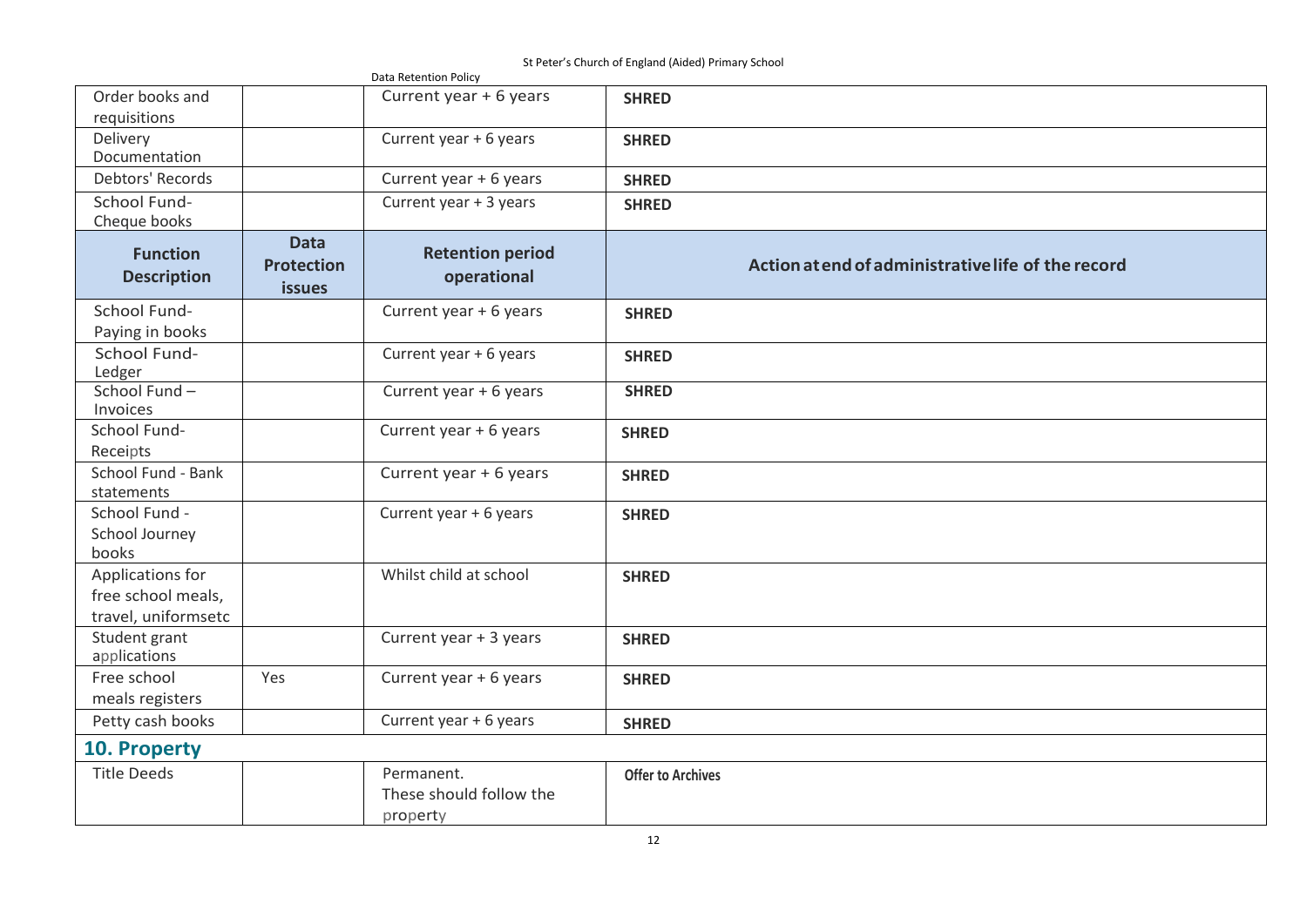St Peter's Church of England (Aided) Primary School

|                                                               |                                                   | Data Retention Policy                             | 3t Feter's Charch of England (Alaca) Frintally Scribbl |  |
|---------------------------------------------------------------|---------------------------------------------------|---------------------------------------------------|--------------------------------------------------------|--|
| Order books and<br>requisitions                               |                                                   | Current year + 6 years                            | <b>SHRED</b>                                           |  |
| Delivery<br>Documentation                                     |                                                   | Current year + 6 years                            | <b>SHRED</b>                                           |  |
| Debtors' Records                                              |                                                   | Current year + 6 years                            | <b>SHRED</b>                                           |  |
| School Fund-<br>Cheque books                                  |                                                   | Current year + 3 years                            | <b>SHRED</b>                                           |  |
| <b>Function</b><br><b>Description</b>                         | <b>Data</b><br><b>Protection</b><br><b>issues</b> | <b>Retention period</b><br>operational            | Action at end of administrative life of the record     |  |
| School Fund-<br>Paying in books                               |                                                   | Current year + 6 years                            | <b>SHRED</b>                                           |  |
| School Fund-<br>Ledger                                        |                                                   | Current year + 6 years                            | <b>SHRED</b>                                           |  |
| School Fund-<br>Invoices                                      |                                                   | Current year + 6 years                            | <b>SHRED</b>                                           |  |
| School Fund-<br>Receipts                                      |                                                   | Current year + 6 years                            | <b>SHRED</b>                                           |  |
| School Fund - Bank<br>statements                              |                                                   | Current year + 6 years                            | <b>SHRED</b>                                           |  |
| School Fund -<br>School Journey<br>books                      |                                                   | Current year + 6 years                            | <b>SHRED</b>                                           |  |
| Applications for<br>free school meals,<br>travel, uniformsetc |                                                   | Whilst child at school                            | <b>SHRED</b>                                           |  |
| Student grant<br>applications                                 |                                                   | Current year + 3 years                            | <b>SHRED</b>                                           |  |
| Free school<br>meals registers                                | Yes                                               | Current year + 6 years                            | <b>SHRED</b>                                           |  |
| Petty cash books                                              |                                                   | Current year + 6 years                            | <b>SHRED</b>                                           |  |
| 10. Property                                                  |                                                   |                                                   |                                                        |  |
| <b>Title Deeds</b>                                            |                                                   | Permanent.<br>These should follow the<br>property | <b>Offer to Archives</b>                               |  |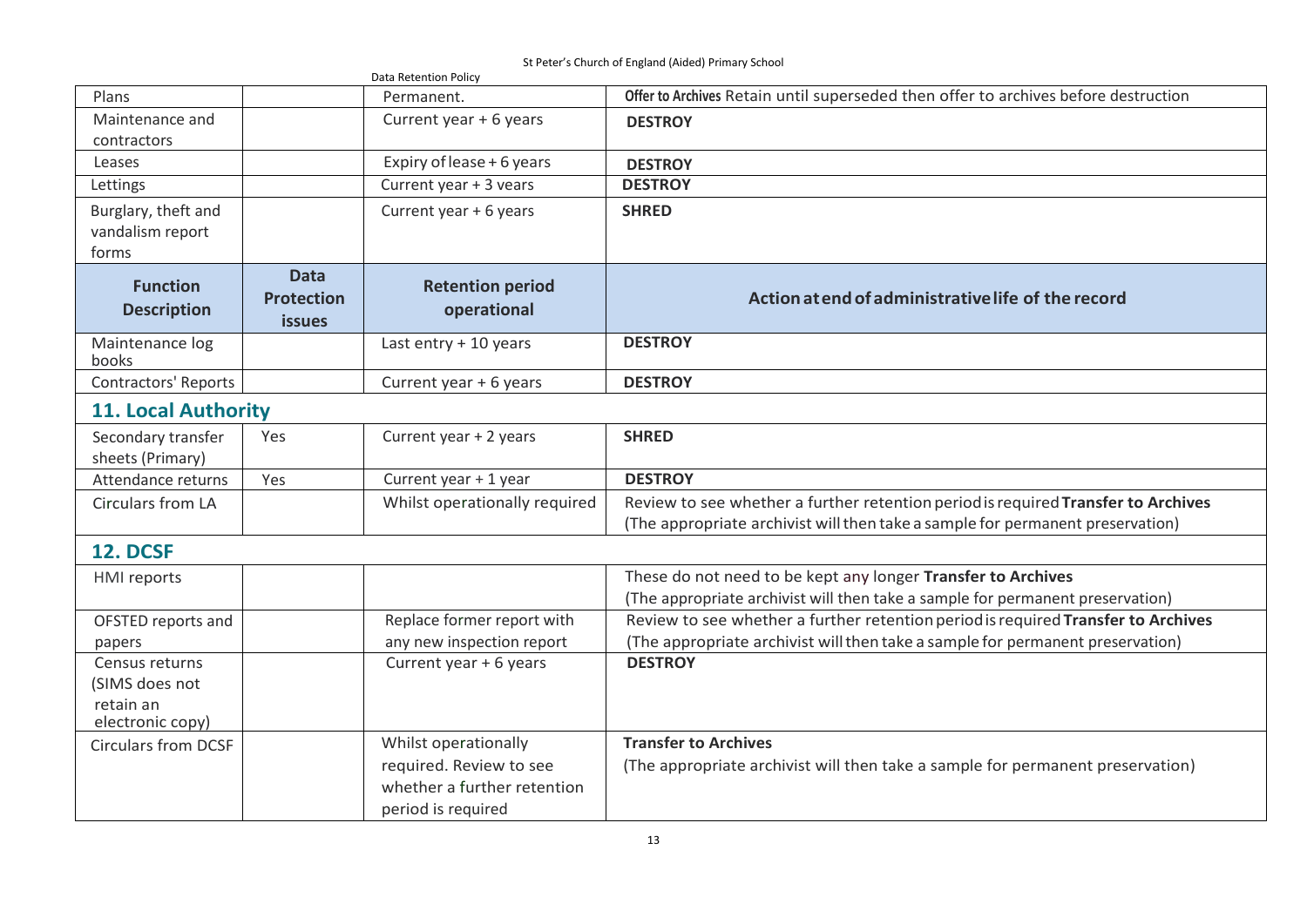St Peter's Church of England (Aided) Primary School

|                                                                   |                                                   | Data Retention Policy                                                        |                                                                                                                                                                     |  |  |
|-------------------------------------------------------------------|---------------------------------------------------|------------------------------------------------------------------------------|---------------------------------------------------------------------------------------------------------------------------------------------------------------------|--|--|
| Plans                                                             |                                                   | Permanent.                                                                   | Offer to Archives Retain until superseded then offer to archives before destruction                                                                                 |  |  |
| Maintenance and<br>contractors                                    |                                                   | Current year + 6 years                                                       | <b>DESTROY</b>                                                                                                                                                      |  |  |
| Leases                                                            |                                                   | Expiry of lease + 6 years                                                    | <b>DESTROY</b>                                                                                                                                                      |  |  |
| Lettings                                                          |                                                   | Current year + 3 vears                                                       | <b>DESTROY</b>                                                                                                                                                      |  |  |
| Burglary, theft and<br>vandalism report<br>forms                  |                                                   | Current year + 6 years                                                       | <b>SHRED</b>                                                                                                                                                        |  |  |
| <b>Function</b><br><b>Description</b>                             | <b>Data</b><br><b>Protection</b><br><b>issues</b> | <b>Retention period</b><br>operational                                       | Action at end of administrative life of the record                                                                                                                  |  |  |
| Maintenance log<br>books                                          |                                                   | Last entry + 10 years                                                        | <b>DESTROY</b>                                                                                                                                                      |  |  |
| <b>Contractors' Reports</b>                                       |                                                   | Current year + 6 years                                                       | <b>DESTROY</b>                                                                                                                                                      |  |  |
| <b>11. Local Authority</b>                                        |                                                   |                                                                              |                                                                                                                                                                     |  |  |
| Secondary transfer<br>sheets (Primary)                            | Yes                                               | Current year + 2 years                                                       | <b>SHRED</b>                                                                                                                                                        |  |  |
| Attendance returns                                                | Yes                                               | Current year + 1 year                                                        | <b>DESTROY</b>                                                                                                                                                      |  |  |
| Circulars from LA                                                 |                                                   | Whilst operationally required                                                | Review to see whether a further retention period is required Transfer to Archives<br>(The appropriate archivist will then take a sample for permanent preservation) |  |  |
| <b>12. DCSF</b>                                                   |                                                   |                                                                              |                                                                                                                                                                     |  |  |
| <b>HMI</b> reports                                                |                                                   |                                                                              | These do not need to be kept any longer Transfer to Archives                                                                                                        |  |  |
|                                                                   |                                                   |                                                                              | (The appropriate archivist will then take a sample for permanent preservation)                                                                                      |  |  |
| OFSTED reports and                                                |                                                   | Replace former report with                                                   | Review to see whether a further retention period is required Transfer to Archives                                                                                   |  |  |
| papers                                                            |                                                   | any new inspection report                                                    | (The appropriate archivist will then take a sample for permanent preservation)                                                                                      |  |  |
| Census returns<br>(SIMS does not<br>retain an<br>electronic copy) |                                                   | Current year + 6 years                                                       | <b>DESTROY</b>                                                                                                                                                      |  |  |
| <b>Circulars from DCSF</b>                                        |                                                   | Whilst operationally                                                         | <b>Transfer to Archives</b>                                                                                                                                         |  |  |
|                                                                   |                                                   | required. Review to see<br>whether a further retention<br>period is required | (The appropriate archivist will then take a sample for permanent preservation)                                                                                      |  |  |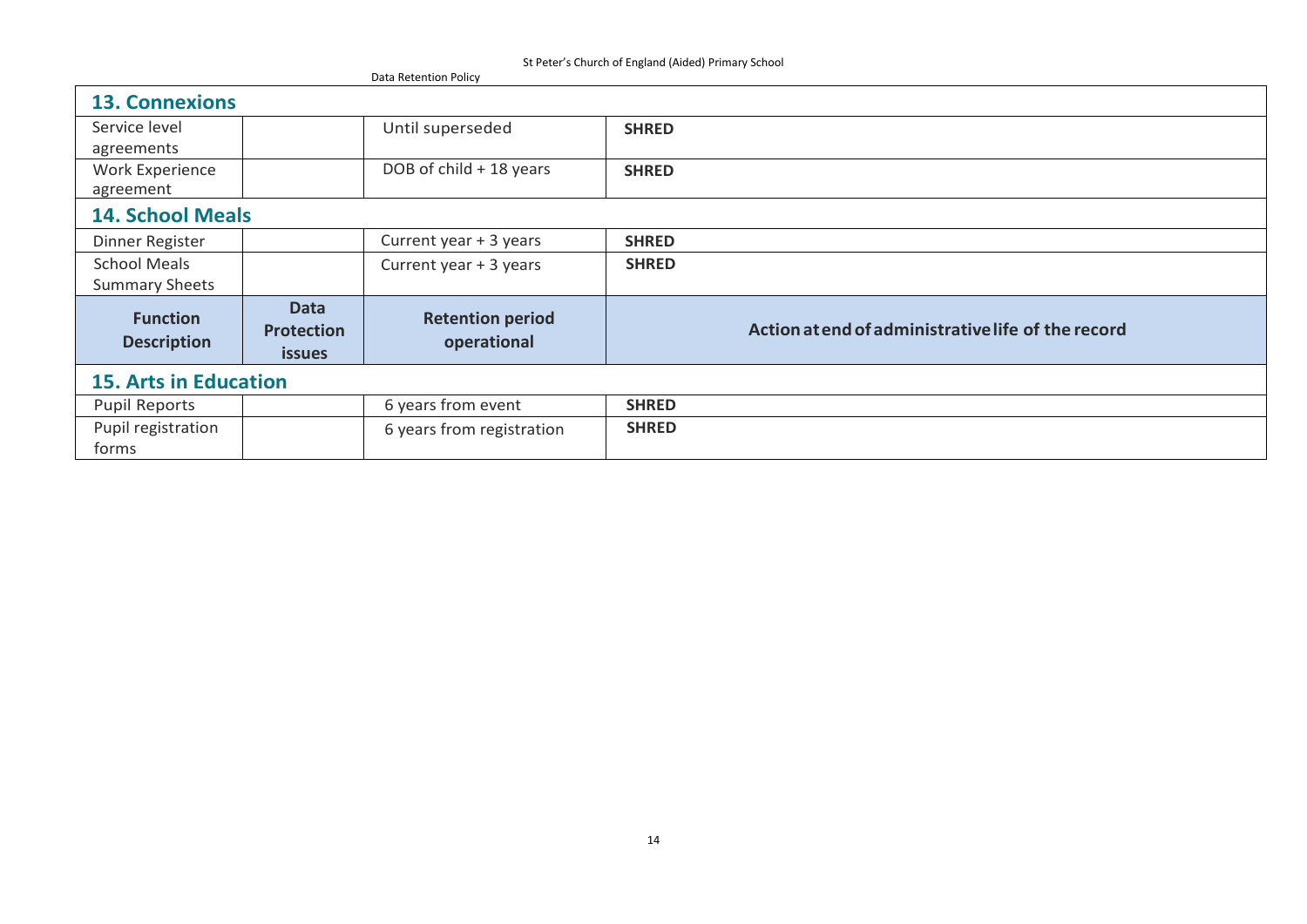| St Feter's Charch of England (Alucu) Friniary Scribbi<br>Data Retention Policy |                                                   |                                        |                                                    |  |  |  |
|--------------------------------------------------------------------------------|---------------------------------------------------|----------------------------------------|----------------------------------------------------|--|--|--|
| <b>13. Connexions</b>                                                          |                                                   |                                        |                                                    |  |  |  |
| Service level                                                                  |                                                   | Until superseded                       | <b>SHRED</b>                                       |  |  |  |
| agreements                                                                     |                                                   |                                        |                                                    |  |  |  |
| Work Experience                                                                |                                                   | DOB of child + 18 years                | <b>SHRED</b>                                       |  |  |  |
| agreement                                                                      |                                                   |                                        |                                                    |  |  |  |
| <b>14. School Meals</b>                                                        |                                                   |                                        |                                                    |  |  |  |
| Dinner Register                                                                |                                                   | Current year + 3 years                 | <b>SHRED</b>                                       |  |  |  |
| <b>School Meals</b>                                                            |                                                   | Current year + 3 years                 | <b>SHRED</b>                                       |  |  |  |
| <b>Summary Sheets</b>                                                          |                                                   |                                        |                                                    |  |  |  |
| <b>Function</b><br><b>Description</b>                                          | <b>Data</b><br><b>Protection</b><br><b>issues</b> | <b>Retention period</b><br>operational | Action at end of administrative life of the record |  |  |  |
| <b>15. Arts in Education</b>                                                   |                                                   |                                        |                                                    |  |  |  |
| <b>Pupil Reports</b>                                                           |                                                   | 6 years from event                     | <b>SHRED</b>                                       |  |  |  |
| Pupil registration<br>forms                                                    |                                                   | 6 years from registration              | <b>SHRED</b>                                       |  |  |  |